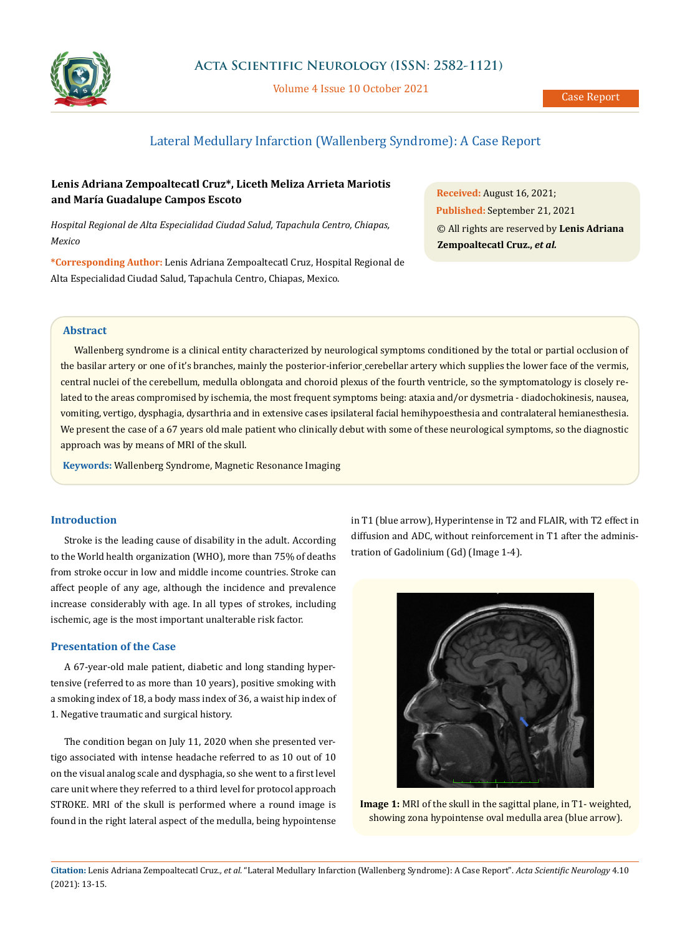

Volume 4 Issue 10 October 2021

# Lateral Medullary Infarction (Wallenberg Syndrome): A Case Report

## **Lenis Adriana Zempoaltecatl Cruz\*, Liceth Meliza Arrieta Mariotis and María Guadalupe Campos Escoto**

*Hospital Regional de Alta Especialidad Ciudad Salud, Tapachula Centro, Chiapas, Mexico*

**\*Corresponding Author:** Lenis Adriana Zempoaltecatl Cruz, Hospital Regional de Alta Especialidad Ciudad Salud, Tapachula Centro, Chiapas, Mexico.

**Received:** August 16, 2021; **Published:** September 21, 2021 © All rights are reserved by **Lenis Adriana Zempoaltecatl Cruz.,** *et al.*

#### **Abstract**

Wallenberg syndrome is a clinical entity characterized by neurological symptoms conditioned by the total or partial occlusion of the basilar artery or one of it's branches, mainly the posterior-inferior cerebellar artery which supplies the lower face of the vermis, central nuclei of the cerebellum, medulla oblongata and choroid plexus of the fourth ventricle, so the symptomatology is closely related to the areas compromised by ischemia, the most frequent symptoms being: ataxia and/or dysmetria - diadochokinesis, nausea, vomiting, vertigo, dysphagia, dysarthria and in extensive cases ipsilateral facial hemihypoesthesia and contralateral hemianesthesia. We present the case of a 67 years old male patient who clinically debut with some of these neurological symptoms, so the diagnostic approach was by means of MRI of the skull.

**Keywords:** Wallenberg Syndrome, Magnetic Resonance Imaging

#### **Introduction**

Stroke is the leading cause of disability in the adult. According to the World health organization (WHO), more than 75% of deaths from stroke occur in low and middle income countries. Stroke can affect people of any age, although the incidence and prevalence increase considerably with age. In all types of strokes, including ischemic, age is the most important unalterable risk factor.

#### **Presentation of the Case**

A 67-year-old male patient, diabetic and long standing hypertensive (referred to as more than 10 years), positive smoking with a smoking index of 18, a body mass index of 36, a waist hip index of 1. Negative traumatic and surgical history.

The condition began on July 11, 2020 when she presented vertigo associated with intense headache referred to as 10 out of 10 on the visual analog scale and dysphagia, so she went to a first level care unit where they referred to a third level for protocol approach STROKE. MRI of the skull is performed where a round image is found in the right lateral aspect of the medulla, being hypointense in T1 (blue arrow), Hyperintense in T2 and FLAIR, with T2 effect in diffusion and ADC, without reinforcement in T1 after the administration of Gadolinium (Gd) (Image 1-4).



**Image 1:** MRI of the skull in the sagittal plane, in T1- weighted, showing zona hypointense oval medulla area (blue arrow).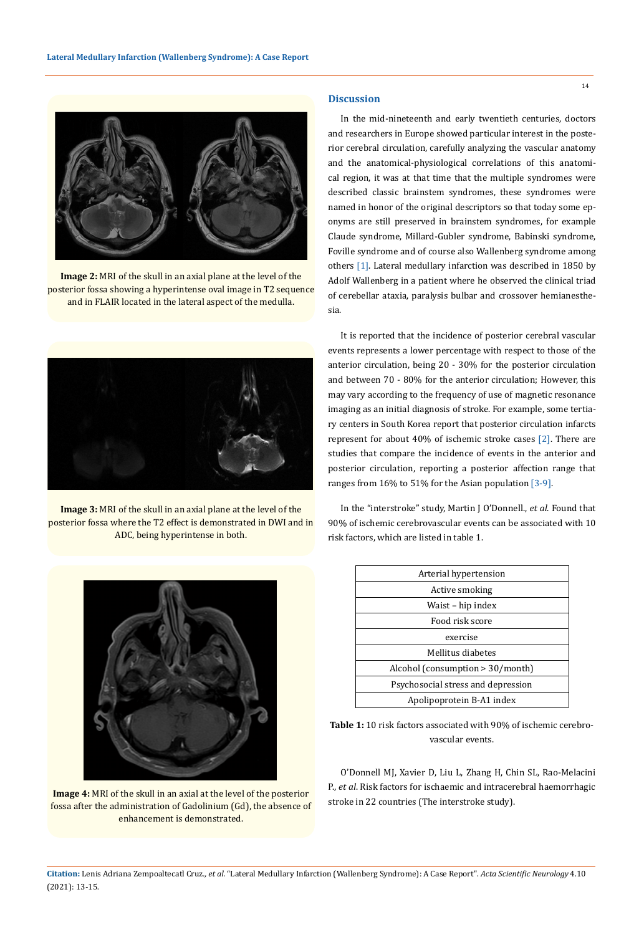

**Image 2:** MRI of the skull in an axial plane at the level of the posterior fossa showing a hyperintense oval image in T2 sequence and in FLAIR located in the lateral aspect of the medulla.



**Image 3:** MRI of the skull in an axial plane at the level of the posterior fossa where the T2 effect is demonstrated in DWI and in ADC, being hyperintense in both.



**Image 4:** MRI of the skull in an axial at the level of the posterior fossa after the administration of Gadolinium (Gd), the absence of enhancement is demonstrated.

#### **Discussion**

In the mid-nineteenth and early twentieth centuries, doctors and researchers in Europe showed particular interest in the posterior cerebral circulation, carefully analyzing the vascular anatomy and the anatomical-physiological correlations of this anatomical region, it was at that time that the multiple syndromes were described classic brainstem syndromes, these syndromes were named in honor of the original descriptors so that today some eponyms are still preserved in brainstem syndromes, for example Claude syndrome, Millard-Gubler syndrome, Babinski syndrome, Foville syndrome and of course also Wallenberg syndrome among others [1]. Lateral medullary infarction was described in 1850 by Adolf Wallenberg in a patient where he observed the clinical triad of cerebellar ataxia, paralysis bulbar and crossover hemianesthesia.

It is reported that the incidence of posterior cerebral vascular events represents a lower percentage with respect to those of the anterior circulation, being 20 - 30% for the posterior circulation and between 70 - 80% for the anterior circulation; However, this may vary according to the frequency of use of magnetic resonance imaging as an initial diagnosis of stroke. For example, some tertiary centers in South Korea report that posterior circulation infarcts represent for about 40% of ischemic stroke cases [2]. There are studies that compare the incidence of events in the anterior and posterior circulation, reporting a posterior affection range that ranges from 16% to 51% for the Asian population [3-9].

In the "interstroke" study, Martin J O'Donnell., *et al*. Found that 90% of ischemic cerebrovascular events can be associated with 10 risk factors, which are listed in table 1.

| Arterial hypertension               |
|-------------------------------------|
| Active smoking                      |
| Waist – hip index                   |
| Food risk score                     |
| exercise                            |
| Mellitus diabetes                   |
| Alcohol (consumption $> 30/$ month) |
| Psychosocial stress and depression  |
| Apolipoprotein B-A1 index           |

**Table 1:** 10 risk factors associated with 90% of ischemic cerebrovascular events.

O'Donnell MJ, Xavier D, Liu L, Zhang H, Chin SL, Rao-Melacini P., *et al*. Risk factors for ischaemic and intracerebral haemorrhagic stroke in 22 countries (The interstroke study).